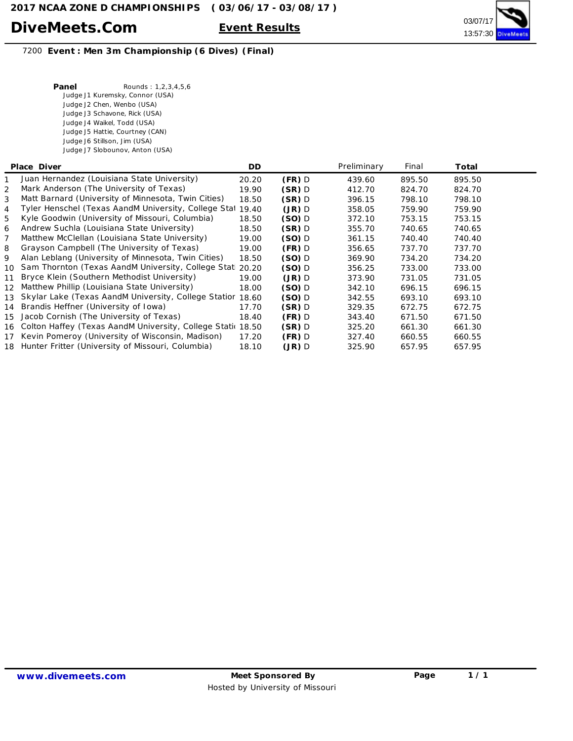

7200 **Event : Men 3m Championship (6 Dives) (Final)**

| Panel | Rounds: 1,2,3,4,5,6             |
|-------|---------------------------------|
|       | Judge J1 Kuremsky, Connor (USA) |
|       | Judge J2 Chen, Wenbo (USA)      |
|       | Judge J3 Schavone, Rick (USA)   |
|       | Judge J4 Waikel, Todd (USA)     |
|       | Judge J5 Hattie, Courtney (CAN) |
|       | Judge J6 Stillson, Jim (USA)    |
|       | Judge J7 Slobounov, Anton (USA) |

|                 | Place Diver                                                    | DD.   |          | Preliminary | Final  | Total  |  |
|-----------------|----------------------------------------------------------------|-------|----------|-------------|--------|--------|--|
|                 | Juan Hernandez (Louisiana State University)                    | 20.20 | $(FR)$ D | 439.60      | 895.50 | 895.50 |  |
| 2               | Mark Anderson (The University of Texas)                        | 19.90 | $(SR)$ D | 412.70      | 824.70 | 824.70 |  |
| 3               | Matt Barnard (University of Minnesota, Twin Cities)            | 18.50 | $(SR)$ D | 396.15      | 798.10 | 798.10 |  |
| 4               | Tyler Henschel (Texas AandM University, College Stat           | 19.40 | (JR) D   | 358.05      | 759.90 | 759.90 |  |
| 5               | Kyle Goodwin (University of Missouri, Columbia)                | 18.50 | $(SO)$ D | 372.10      | 753.15 | 753.15 |  |
| 6               | Andrew Suchla (Louisiana State University)                     | 18.50 | $(SR)$ D | 355.70      | 740.65 | 740.65 |  |
| 7               | Matthew McClellan (Louisiana State University)                 | 19.00 | $(SO)$ D | 361.15      | 740.40 | 740.40 |  |
| 8               | Grayson Campbell (The University of Texas)                     | 19.00 | $(FR)$ D | 356.65      | 737.70 | 737.70 |  |
| 9               | Alan Leblang (University of Minnesota, Twin Cities)            | 18.50 | $(SO)$ D | 369.90      | 734.20 | 734.20 |  |
| $10-10$         | Sam Thornton (Texas AandM University, College Stati            | 20.20 | $(SO)$ D | 356.25      | 733.00 | 733.00 |  |
| 11              | Bryce Klein (Southern Methodist University)                    | 19.00 | $(JR)$ D | 373.90      | 731.05 | 731.05 |  |
| 12 <sup>7</sup> | Matthew Phillip (Louisiana State University)                   | 18.00 | $(SO)$ D | 342.10      | 696.15 | 696.15 |  |
|                 | 13 Skylar Lake (Texas AandM University, College Statior        | 18.60 | $(SO)$ D | 342.55      | 693.10 | 693.10 |  |
|                 | 14 Brandis Heffner (University of Iowa)                        | 17.70 | $(SR)$ D | 329.35      | 672.75 | 672.75 |  |
| 15              | Jacob Cornish (The University of Texas)                        | 18.40 | $(FR)$ D | 343.40      | 671.50 | 671.50 |  |
|                 | 16 Colton Haffey (Texas AandM University, College Static 18.50 |       | $(SR)$ D | 325.20      | 661.30 | 661.30 |  |
|                 | 17 Kevin Pomeroy (University of Wisconsin, Madison)            | 17.20 | $(FR)$ D | 327.40      | 660.55 | 660.55 |  |
|                 | 18 Hunter Fritter (University of Missouri, Columbia)           | 18.10 | (JR) D   | 325.90      | 657.95 | 657.95 |  |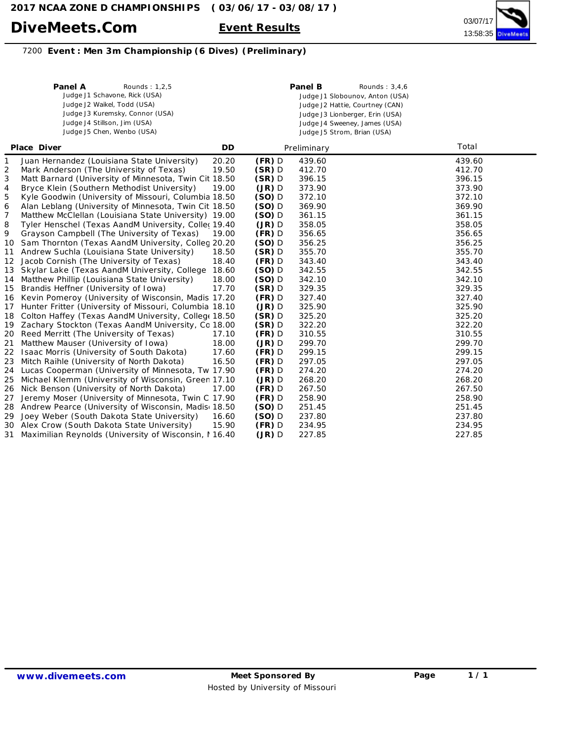

#### **Event : Men 3m Championship (6 Dives) (Preliminary)**

|                  | Panel A<br>Rounds: 1,2,5<br>Judge J1 Schavone, Rick (USA)<br>Judge J2 Waikel, Todd (USA)<br>Judge J3 Kuremsky, Connor (USA)<br>Judge J4 Stillson, Jim (USA)<br>Judge J5 Chen, Wenbo (USA) |       |          | Panel B<br>Rounds: $3,4,6$<br>Judge J1 Slobounov, Anton (USA)<br>Judge J2 Hattie, Courtney (CAN)<br>Judge J3 Lionberger, Erin (USA)<br>Judge J4 Sweeney, James (USA)<br>Judge J5 Strom, Brian (USA) |        |
|------------------|-------------------------------------------------------------------------------------------------------------------------------------------------------------------------------------------|-------|----------|-----------------------------------------------------------------------------------------------------------------------------------------------------------------------------------------------------|--------|
|                  | Place Diver                                                                                                                                                                               | DD    |          | Preliminary                                                                                                                                                                                         | Total  |
| 1                | Juan Hernandez (Louisiana State University)                                                                                                                                               | 20.20 | $(FR)$ D | 439.60                                                                                                                                                                                              | 439.60 |
| 2                | Mark Anderson (The University of Texas)                                                                                                                                                   | 19.50 | $(SR)$ D | 412.70                                                                                                                                                                                              | 412.70 |
| 3                | Matt Barnard (University of Minnesota, Twin Cit 18.50                                                                                                                                     |       | $(SR)$ D | 396.15                                                                                                                                                                                              | 396.15 |
| 4                | Bryce Klein (Southern Methodist University)                                                                                                                                               | 19.00 | $(JR)$ D | 373.90                                                                                                                                                                                              | 373.90 |
| 5                | Kyle Goodwin (University of Missouri, Columbia 18.50                                                                                                                                      |       | $(SO)$ D | 372.10                                                                                                                                                                                              | 372.10 |
| 6                | Alan Leblang (University of Minnesota, Twin Cit 18.50                                                                                                                                     |       | $(SO)$ D | 369.90                                                                                                                                                                                              | 369.90 |
| 7                | Matthew McClellan (Louisiana State University) 19.00                                                                                                                                      |       | $(SO)$ D | 361.15                                                                                                                                                                                              | 361.15 |
| 8                | Tyler Henschel (Texas AandM University, Coller 19.40                                                                                                                                      |       | $(JR)$ D | 358.05                                                                                                                                                                                              | 358.05 |
| 9                | Grayson Campbell (The University of Texas)                                                                                                                                                | 19.00 | $(FR)$ D | 356.65                                                                                                                                                                                              | 356.65 |
| 10               | Sam Thornton (Texas AandM University, Colleg 20.20                                                                                                                                        |       | $(SO)$ D | 356.25                                                                                                                                                                                              | 356.25 |
| 11               | Andrew Suchla (Louisiana State University)                                                                                                                                                | 18.50 | $(SR)$ D | 355.70                                                                                                                                                                                              | 355.70 |
| 12 <sup>12</sup> | Jacob Cornish (The University of Texas)                                                                                                                                                   | 18.40 | $(FR)$ D | 343.40                                                                                                                                                                                              | 343.40 |
| 13               | Skylar Lake (Texas AandM University, College                                                                                                                                              | 18.60 | $(SO)$ D | 342.55                                                                                                                                                                                              | 342.55 |
| 14               | Matthew Phillip (Louisiana State University)                                                                                                                                              | 18.00 | $(SO)$ D | 342.10                                                                                                                                                                                              | 342.10 |
| 15               | Brandis Heffner (University of Iowa)                                                                                                                                                      | 17.70 | $(SR)$ D | 329.35                                                                                                                                                                                              | 329.35 |
|                  | 16 Kevin Pomeroy (University of Wisconsin, Madis 17.20                                                                                                                                    |       | $(FR)$ D | 327.40                                                                                                                                                                                              | 327.40 |
| 17               | Hunter Fritter (University of Missouri, Columbia 18.10                                                                                                                                    |       | $(JR)$ D | 325.90                                                                                                                                                                                              | 325.90 |
| 18               | Colton Haffey (Texas AandM University, College 18.50                                                                                                                                      |       | $(SR)$ D | 325.20                                                                                                                                                                                              | 325.20 |
|                  | 19 Zachary Stockton (Texas AandM University, Cc 18.00                                                                                                                                     |       | $(SR)$ D | 322.20                                                                                                                                                                                              | 322.20 |
| 20               | Reed Merritt (The University of Texas)                                                                                                                                                    | 17.10 | $(FR)$ D | 310.55                                                                                                                                                                                              | 310.55 |
| 21               | Matthew Mauser (University of Iowa)                                                                                                                                                       | 18.00 | $(JR)$ D | 299.70                                                                                                                                                                                              | 299.70 |
|                  | 22 Isaac Morris (University of South Dakota)                                                                                                                                              | 17.60 | $(FR)$ D | 299.15                                                                                                                                                                                              | 299.15 |
| 23               | Mitch Raihle (University of North Dakota)                                                                                                                                                 | 16.50 | $(FR)$ D | 297.05                                                                                                                                                                                              | 297.05 |
| 24               | Lucas Cooperman (University of Minnesota, Tw 17.90                                                                                                                                        |       | $(FR)$ D | 274.20                                                                                                                                                                                              | 274.20 |
| 25               | Michael Klemm (University of Wisconsin, Greer 17.10                                                                                                                                       |       | $(JR)$ D | 268.20                                                                                                                                                                                              | 268.20 |
| 26               | Nick Benson (University of North Dakota)                                                                                                                                                  | 17.00 | $(FR)$ D | 267.50                                                                                                                                                                                              | 267.50 |
| 27               | Jeremy Moser (University of Minnesota, Twin C 17.90                                                                                                                                       |       | $(FR)$ D | 258.90                                                                                                                                                                                              | 258.90 |
| 28               | Andrew Pearce (University of Wisconsin, Madis 18.50                                                                                                                                       |       | $(SO)$ D | 251.45                                                                                                                                                                                              | 251.45 |
| 29               | Joey Weber (South Dakota State University)                                                                                                                                                | 16.60 | $(SO)$ D | 237.80                                                                                                                                                                                              | 237.80 |
|                  | 30 Alex Crow (South Dakota State University)                                                                                                                                              | 15.90 | $(FR)$ D | 234.95                                                                                                                                                                                              | 234.95 |
| 31               | Maximilian Reynolds (University of Wisconsin, 116.40                                                                                                                                      |       | $(JR)$ D | 227.85                                                                                                                                                                                              | 227.85 |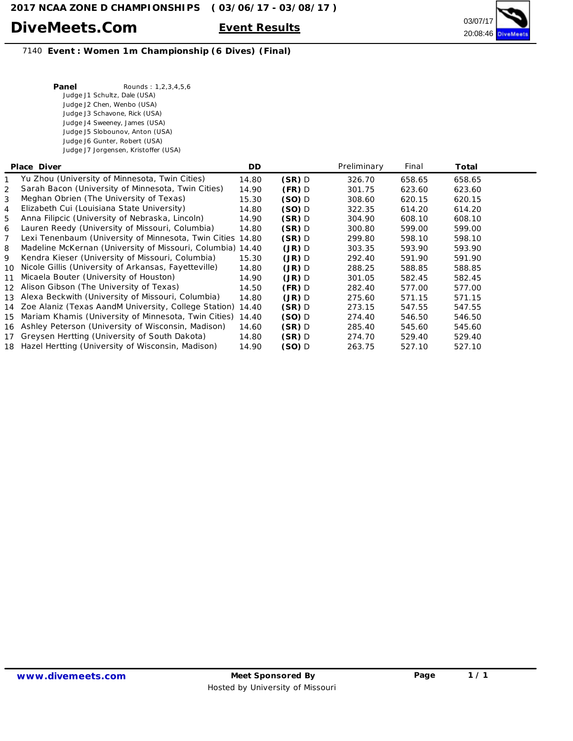

#### 7140 **Event : Women 1m Championship (6 Dives) (Final)**

| Panel | Rounds: 1,2,3,4,5,6                  |
|-------|--------------------------------------|
|       | Judge J1 Schultz, Dale (USA)         |
|       | Judge J2 Chen, Wenbo (USA)           |
|       | Judge J3 Schavone, Rick (USA)        |
|       | Judge J4 Sweeney, James (USA)        |
|       | Judge J5 Slobounov, Anton (USA)      |
|       | Judge J6 Gunter, Robert (USA)        |
|       | Judge J7 Jorgensen, Kristoffer (USA) |
|       |                                      |

|                 | Place Diver                                                | DD.   |          | Preliminary | Final  | Total  |  |
|-----------------|------------------------------------------------------------|-------|----------|-------------|--------|--------|--|
|                 | Yu Zhou (University of Minnesota, Twin Cities)             | 14.80 | $(SR)$ D | 326.70      | 658.65 | 658.65 |  |
| 2               | Sarah Bacon (University of Minnesota, Twin Cities)         | 14.90 | $(FR)$ D | 301.75      | 623.60 | 623.60 |  |
| 3               | Meghan Obrien (The University of Texas)                    | 15.30 | $(SO)$ D | 308.60      | 620.15 | 620.15 |  |
| 4               | Elizabeth Cui (Louisiana State University)                 | 14.80 | $(SO)$ D | 322.35      | 614.20 | 614.20 |  |
| 5               | Anna Filipcic (University of Nebraska, Lincoln)            | 14.90 | $(SR)$ D | 304.90      | 608.10 | 608.10 |  |
| 6               | Lauren Reedy (University of Missouri, Columbia)            | 14.80 | (SR) D   | 300.80      | 599.00 | 599.00 |  |
| 7               | Lexi Tenenbaum (University of Minnesota, Twin Cities       | 14.80 | $(SR)$ D | 299.80      | 598.10 | 598.10 |  |
| 8               | Madeline McKernan (University of Missouri, Columbia) 14.40 |       | $(JR)$ D | 303.35      | 593.90 | 593.90 |  |
| 9               | Kendra Kieser (University of Missouri, Columbia)           | 15.30 | $(JR)$ D | 292.40      | 591.90 | 591.90 |  |
| 10              | Nicole Gillis (University of Arkansas, Fayetteville)       | 14.80 | $(JR)$ D | 288.25      | 588.85 | 588.85 |  |
| 11              | Micaela Bouter (University of Houston)                     | 14.90 | $(JR)$ D | 301.05      | 582.45 | 582.45 |  |
| 12 <sup>7</sup> | Alison Gibson (The University of Texas)                    | 14.50 | $(FR)$ D | 282.40      | 577.00 | 577.00 |  |
| 13 <sup>1</sup> | Alexa Beckwith (University of Missouri, Columbia)          | 14.80 | $(JR)$ D | 275.60      | 571.15 | 571.15 |  |
|                 | 14 Zoe Alaniz (Texas AandM University, College Station)    | 14.40 | $(SR)$ D | 273.15      | 547.55 | 547.55 |  |
| 15              | Mariam Khamis (University of Minnesota, Twin Cities)       | 14.40 | $(SO)$ D | 274.40      | 546.50 | 546.50 |  |
|                 | 16 Ashley Peterson (University of Wisconsin, Madison)      | 14.60 | $(SR)$ D | 285.40      | 545.60 | 545.60 |  |
|                 | 17 Greysen Hertting (University of South Dakota)           | 14.80 | $(SR)$ D | 274.70      | 529.40 | 529.40 |  |
|                 | 18 Hazel Hertting (University of Wisconsin, Madison)       | 14.90 | $(SO)$ D | 263.75      | 527.10 | 527.10 |  |